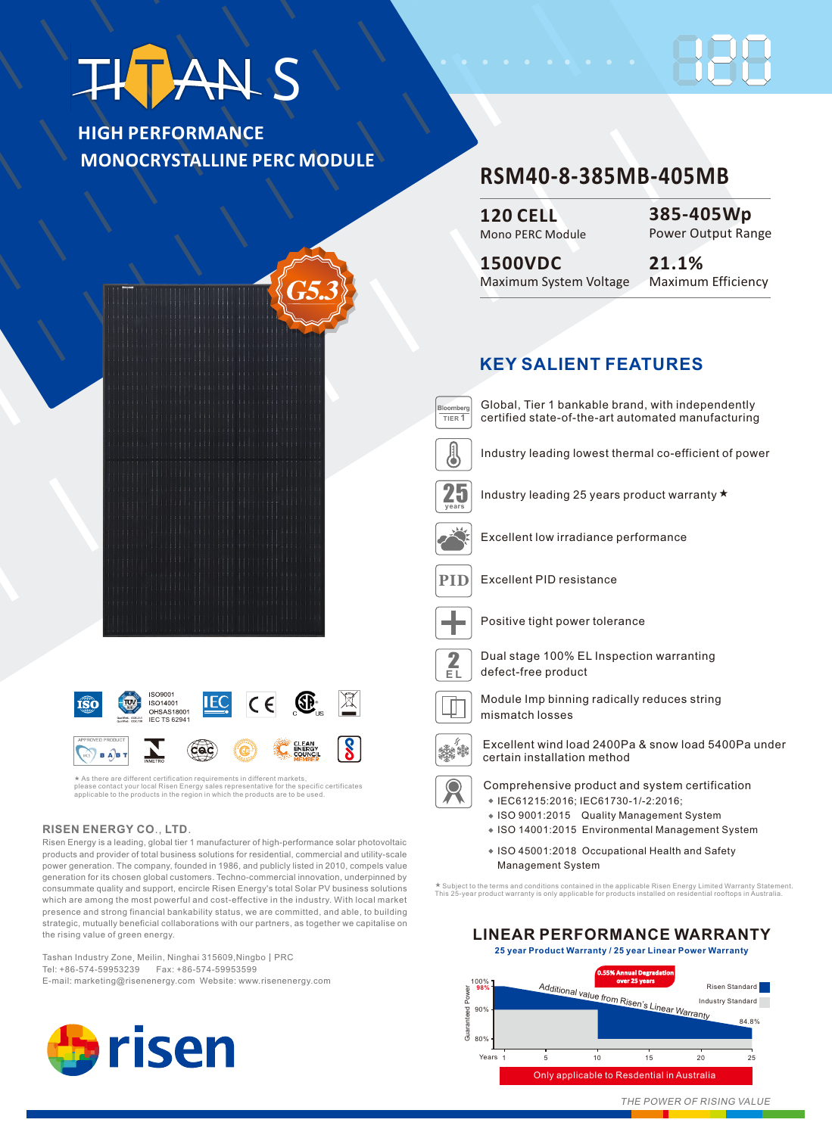# **THT ANS**

**HIGH PERFORMANCE MONOCRYSTALLINE PERC MODULE**

## **RSM40-8-385MB-405MB**

**120 CELL** Mono PERC Module

**385-405Wp** Power Output Range

**1500VDC 21.1%** Maximum System Voltage

### **KEY SALIENT FEATURES**



Global, Tier 1 bankable brand, with independently certified state-of-the-art automated manufacturing



Industry leading lowest thermal co-efficient of power



Industry leading 25 years product warranty ★



Excellent low irradiance performance



**PID** Excellent PID resistance



Positive tight power tolerance



**P**<br> **EL** defect-free product<br> **EL** defect-free product



Module Imp binning radically reduces string mismatch losses



Excellent wind load 2400Pa & snow load 5400Pa under certain installation method

- Comprehensive product and system certification IEC61215:2016; IEC61730-1/-2:2016;
	-
	- ISO 9001:2015 Quality Management System
	- ISO 14001:2015 Environmental Management System
	- ISO 45001:2018 Occupational Health and Safety Management System

★ Subject to the terms and conditions contained in the applicable Risen Energy Limited Warranty Statement.<br>This 25-year product warranty is only applicable for products installed on residential rooftops in Australia.



**25 year Product Warranty / 25 year Linear Power Warranty**



**ISO9001**  $\boxtimes$ ISO14001 íŝ0 OHSAS18001 **IEC TS 6294** Cac  $\sqrt{B \text{ A}B}$ 

\* As there are different certification requirements in different markets,<br>please contact your local Risen Energy sales representative for the specific certificates<br>applicable to the products in the region in which the prod ★

#### **RISEN ENERGY CO**., **LTD**.

Risen Energy is a leading, global tier 1 manufacturer of high-performance solar photovoltaic products and provider of total business solutions for residential, commercial and utility-scale power generation. The company, founded in 1986, and publicly listed in 2010, compels value generation for its chosen global customers. Techno-commercial innovation, underpinned by consummate quality and support, encircle Risen Energy's total Solar PV business solutions which are among the most powerful and cost-effective in the industry. With local market presence and strong financial bankability status, we are committed, and able, to building strategic, mutually beneficial collaborations with our partners, as together we capitalise on the rising value of green energy.

Tashan Industry Zone, Meilin, Ninghai 315609, Ningbo | PRC Tel: +86-574-59953239 Fax: +86-574-59953599 E-mail: marketing@risenenergy.com Website: www.risenenergy.com